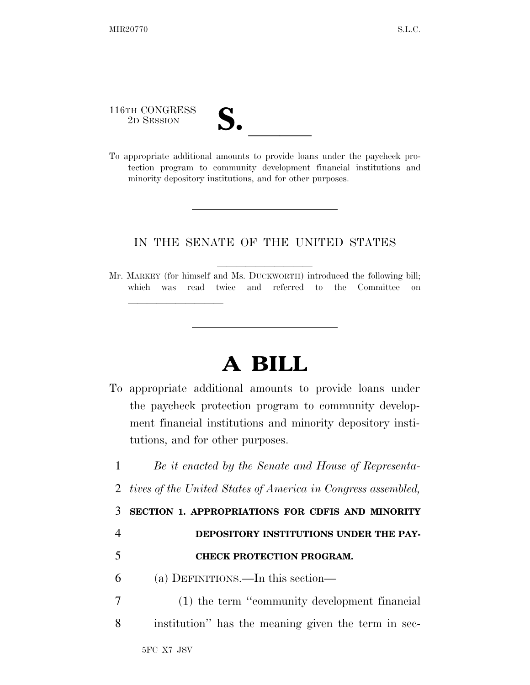116TH CONGRESS

<u>llille som starte som starte som starte som s</u>

- 
- 116TH CONGRESS<br>
2D SESSION<br>
To appropriate additional amounts to provide loans under the paycheck protection program to community development financial institutions and minority depository institutions, and for other purposes.

## IN THE SENATE OF THE UNITED STATES

Mr. MARKEY (for himself and Ms. DUCKWORTH) introduced the following bill; which was read twice and referred to the Committee on

## **A BILL**

To appropriate additional amounts to provide loans under the paycheck protection program to community development financial institutions and minority depository institutions, and for other purposes.

 *Be it enacted by the Senate and House of Representa- tives of the United States of America in Congress assembled,*  **SECTION 1. APPROPRIATIONS FOR CDFIS AND MINORITY DEPOSITORY INSTITUTIONS UNDER THE PAY- CHECK PROTECTION PROGRAM.**  (a) DEFINITIONS.—In this section— (1) the term ''community development financial institution'' has the meaning given the term in sec-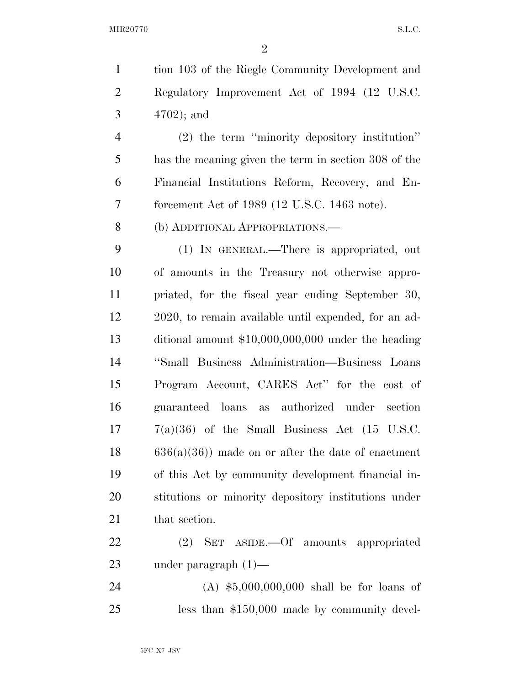tion 103 of the Riegle Community Development and Regulatory Improvement Act of 1994 (12 U.S.C. 4702); and

 (2) the term ''minority depository institution'' has the meaning given the term in section 308 of the Financial Institutions Reform, Recovery, and En-forcement Act of 1989 (12 U.S.C. 1463 note).

(b) ADDITIONAL APPROPRIATIONS.—

 (1) IN GENERAL.—There is appropriated, out of amounts in the Treasury not otherwise appro- priated, for the fiscal year ending September 30, 2020, to remain available until expended, for an ad- ditional amount \$10,000,000,000 under the heading ''Small Business Administration—Business Loans Program Account, CARES Act'' for the cost of guaranteed loans as authorized under section  $7(a)(36)$  of the Small Business Act  $(15 \text{ U.S.C.})$  636(a)(36)) made on or after the date of enactment of this Act by community development financial in- stitutions or minority depository institutions under 21 that section.

 (2) SET ASIDE.—Of amounts appropriated under paragraph (1)—

 (A) \$5,000,000,000 shall be for loans of less than \$150,000 made by community devel-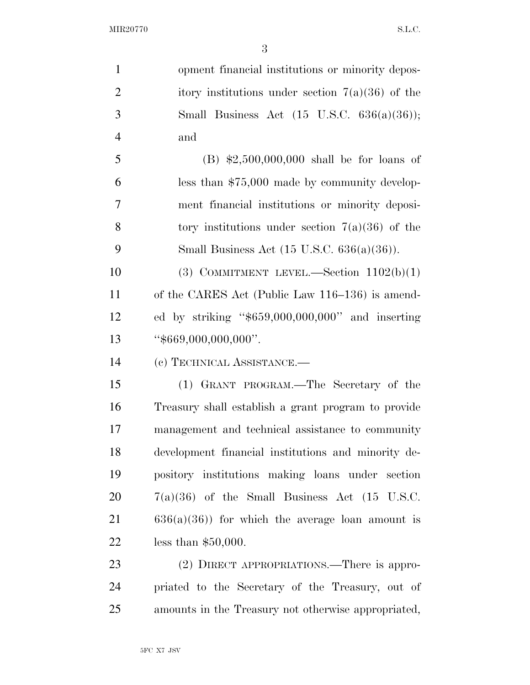opment financial institutions or minority depos-2 itory institutions under section  $7(a)(36)$  of the Small Business Act (15 U.S.C. 636(a)(36)); and (B) \$2,500,000,000 shall be for loans of less than \$75,000 made by community develop- ment financial institutions or minority deposi-8 tory institutions under section  $7(a)(36)$  of the Small Business Act (15 U.S.C. 636(a)(36)).

 $(3)$  COMMITMENT LEVEL.—Section  $1102(b)(1)$  of the CARES Act (Public Law 116–136) is amend- ed by striking ''\$659,000,000,000'' and inserting ''\$669,000,000,000''.

(c) TECHNICAL ASSISTANCE.—

 (1) GRANT PROGRAM.—The Secretary of the Treasury shall establish a grant program to provide management and technical assistance to community development financial institutions and minority de- pository institutions making loans under section  $20 \qquad 7(a)(36)$  of the Small Business Act (15 U.S.C. 636(a)(36)) for which the average loan amount is less than \$50,000.

23 (2) DIRECT APPROPRIATIONS.—There is appro- priated to the Secretary of the Treasury, out of amounts in the Treasury not otherwise appropriated,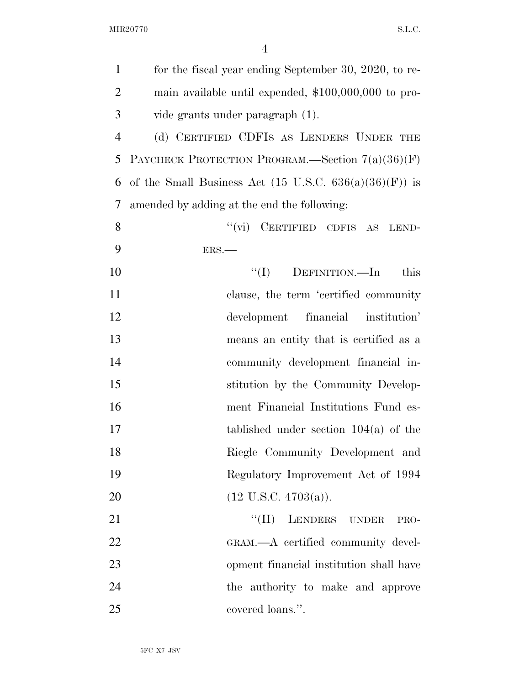| $\mathbf{1}$   | for the fiscal year ending September 30, 2020, to re-             |
|----------------|-------------------------------------------------------------------|
| $\overline{2}$ | main available until expended, $$100,000,000$ to pro-             |
| 3              | vide grants under paragraph (1).                                  |
| $\overline{4}$ | (d) CERTIFIED CDFIS AS LENDERS UNDER THE                          |
| 5              | PAYCHECK PROTECTION PROGRAM.—Section $7(a)(36)(F)$                |
| 6              | of the Small Business Act $(15 \text{ U.S.C. } 636(a)(36)(F))$ is |
| 7              | amended by adding at the end the following:                       |
| 8              | "(vi) CERTIFIED CDFIS AS LEND-                                    |
| 9              | ERS.                                                              |
| 10             | $\lq\lq (I)$ DEFINITION.—In<br>this                               |
| 11             | clause, the term 'certified community                             |
| 12             | development financial institution'                                |
| 13             | means an entity that is certified as a                            |
| 14             | community development financial in-                               |
| 15             | stitution by the Community Develop-                               |
| 16             | ment Financial Institutions Fund es-                              |
| 17             | tablished under section $104(a)$ of the                           |
| 18             | Riegle Community Development and                                  |
| 19             | Regulatory Improvement Act of 1994                                |
| 20             | $(12 \text{ U.S.C. } 4703(a)).$                                   |
| 21             | LENDERS UNDER<br>$``(\Pi)$<br>PRO-                                |
| 22             | GRAM.—A certified community devel-                                |
| 23             | opment financial institution shall have                           |
| 24             | the authority to make and approve                                 |
| 25             | covered loans.".                                                  |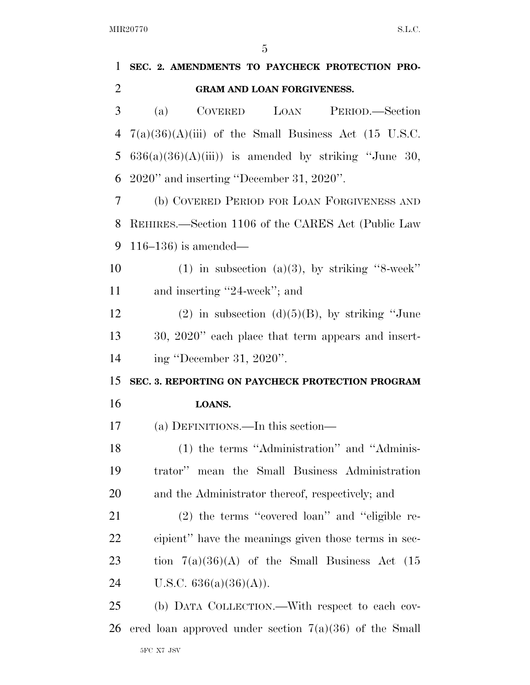| 1              | SEC. 2. AMENDMENTS TO PAYCHECK PROTECTION PRO-           |
|----------------|----------------------------------------------------------|
| $\overline{2}$ | GRAM AND LOAN FORGIVENESS.                               |
| 3              | LOAN<br><b>COVERED</b><br>PERIOD.—Section<br>(a)         |
| 4              | $7(a)(36)(A)(iii)$ of the Small Business Act (15 U.S.C.  |
| 5              | $636(a)(36)(A)(iii)$ is amended by striking "June 30,    |
| 6              | 2020" and inserting "December 31, 2020".                 |
| 7              | (b) COVERED PERIOD FOR LOAN FORGIVENESS AND              |
| 8              | REHIRES.—Section 1106 of the CARES Act (Public Law       |
| 9              | $116-136$ ) is amended—                                  |
| 10             | $(1)$ in subsection $(a)(3)$ , by striking "8-week"      |
| 11             | and inserting "24-week"; and                             |
| 12             | $(2)$ in subsection $(d)(5)(B)$ , by striking "June      |
| 13             | 30, 2020" each place that term appears and insert-       |
| 14             | ing "December 31, 2020".                                 |
| 15             | SEC. 3. REPORTING ON PAYCHECK PROTECTION PROGRAM         |
| 16             | LOANS.                                                   |
| 17             | (a) DEFINITIONS.—In this section—                        |
| 18             | (1) the terms "Administration" and "Adminis-             |
| 19             | trator" mean the Small Business Administration           |
| 20             | and the Administrator thereof, respectively; and         |
| 21             | $(2)$ the terms "covered loan" and "eligible re-         |
| 22             | cipient" have the meanings given those terms in sec-     |
| 23             | tion $7(a)(36)(A)$ of the Small Business Act (15         |
| 24             | U.S.C. $636(a)(36)(A)$ ).                                |
| 25             | (b) DATA COLLECTION.—With respect to each cov-           |
| 26             | ered loan approved under section $7(a)(36)$ of the Small |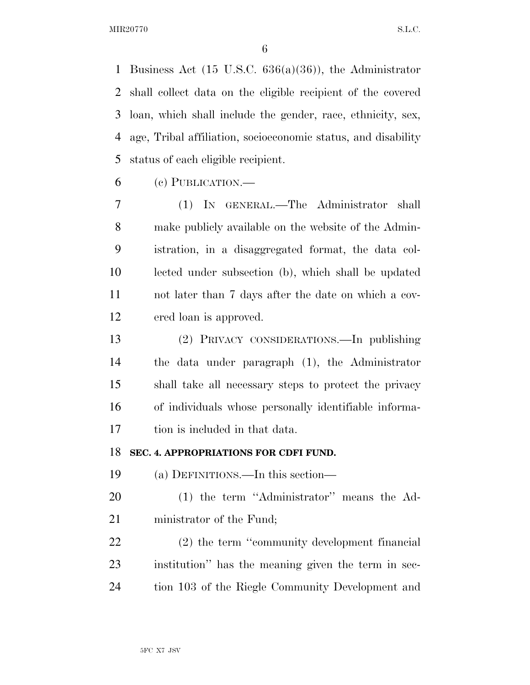Business Act (15 U.S.C. 636(a)(36)), the Administrator shall collect data on the eligible recipient of the covered loan, which shall include the gender, race, ethnicity, sex, age, Tribal affiliation, socioeconomic status, and disability status of each eligible recipient.

(c) PUBLICATION.—

 (1) IN GENERAL.—The Administrator shall make publicly available on the website of the Admin- istration, in a disaggregated format, the data col- lected under subsection (b), which shall be updated not later than 7 days after the date on which a cov-ered loan is approved.

 (2) PRIVACY CONSIDERATIONS.—In publishing the data under paragraph (1), the Administrator shall take all necessary steps to protect the privacy of individuals whose personally identifiable informa-tion is included in that data.

## **SEC. 4. APPROPRIATIONS FOR CDFI FUND.**

(a) DEFINITIONS.—In this section—

 (1) the term ''Administrator'' means the Ad-ministrator of the Fund;

 (2) the term ''community development financial institution'' has the meaning given the term in sec-tion 103 of the Riegle Community Development and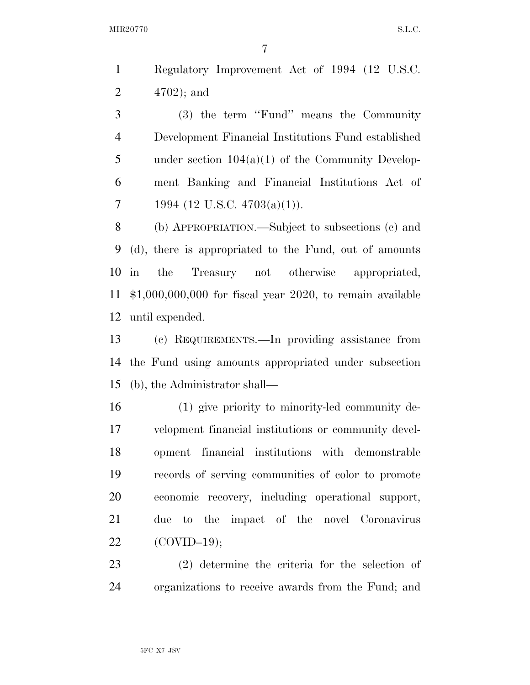MIR20770 S.L.C.

 Regulatory Improvement Act of 1994 (12 U.S.C. 4702); and

 (3) the term ''Fund'' means the Community Development Financial Institutions Fund established under section 104(a)(1) of the Community Develop- ment Banking and Financial Institutions Act of 7 1994 (12 U.S.C.  $4703(a)(1)$ ).

 (b) APPROPRIATION.—Subject to subsections (c) and (d), there is appropriated to the Fund, out of amounts in the Treasury not otherwise appropriated, \$1,000,000,000 for fiscal year 2020, to remain available until expended.

 (c) REQUIREMENTS.—In providing assistance from the Fund using amounts appropriated under subsection (b), the Administrator shall—

 (1) give priority to minority-led community de- velopment financial institutions or community devel- opment financial institutions with demonstrable records of serving communities of color to promote economic recovery, including operational support, due to the impact of the novel Coronavirus (COVID–19);

 (2) determine the criteria for the selection of organizations to receive awards from the Fund; and